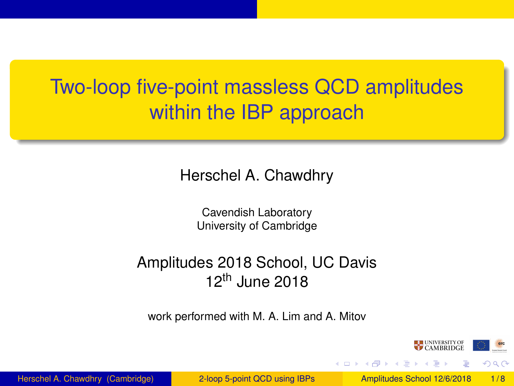# <span id="page-0-0"></span>Two-loop five-point massless QCD amplitudes within the IBP approach

Herschel A. Chawdhry

Cavendish Laboratory University of Cambridge

#### Amplitudes 2018 School, UC Davis 12<sup>th</sup> June 2018

work performed with M. A. Lim and A. Mitov



 $\Omega$ 

 $(0,1)$   $(0,1)$   $(0,1)$   $(1,1)$   $(1,1)$   $(1,1)$   $(1,1)$   $(1,1)$   $(1,1)$   $(1,1)$   $(1,1)$   $(1,1)$   $(1,1)$   $(1,1)$   $(1,1)$   $(1,1)$   $(1,1)$   $(1,1)$   $(1,1)$   $(1,1)$   $(1,1)$   $(1,1)$   $(1,1)$   $(1,1)$   $(1,1)$   $(1,1)$   $(1,1)$   $(1,1$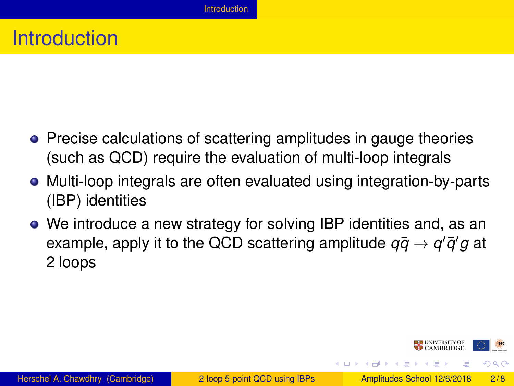## <span id="page-1-0"></span>**Introduction**

- **•** Precise calculations of scattering amplitudes in gauge theories (such as QCD) require the evaluation of multi-loop integrals
- Multi-loop integrals are often evaluated using integration-by-parts (IBP) identities
- We introduce a new strategy for solving IBP identities and, as an example, apply it to the QCD scattering amplitude  $q\bar{q} \rightarrow q'\bar{q}' g$  at 2 loops

 $(0,1)$   $(0,1)$   $(0,1)$   $(1,1)$   $(1,1)$   $(1,1)$   $(1,1)$   $(1,1)$   $(1,1)$   $(1,1)$   $(1,1)$   $(1,1)$   $(1,1)$   $(1,1)$   $(1,1)$   $(1,1)$   $(1,1)$   $(1,1)$   $(1,1)$   $(1,1)$   $(1,1)$   $(1,1)$   $(1,1)$   $(1,1)$   $(1,1)$   $(1,1)$   $(1,1)$   $(1,1$ 

**LE UNIVERSITY OF** 

 $\Omega$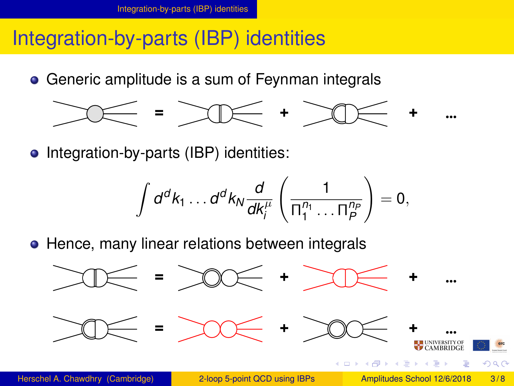#### <span id="page-2-0"></span>Integration-by-parts (IBP) identities

• Generic amplitude is a sum of Feynman integrals



• Integration-by-parts (IBP) identities:

$$
\int d^dk_1 \ldots d^dk_N \frac{d}{dk_i^{\mu}} \left( \frac{1}{\Pi_1^{n_1} \ldots \Pi_p^{n_p}} \right) = 0,
$$

• Hence, many linear relations between integrals

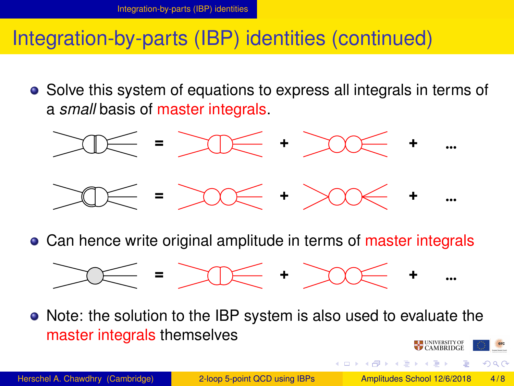## Integration-by-parts (IBP) identities (continued)

Solve this system of equations to express all integrals in terms of a *small* basis of master integrals.



• Can hence write original amplitude in terms of master integrals



Note: the solution to the IBP system is also used to evaluate the master integrals themselves

**K ロ ト K 伺 ト K ヨ ト** 

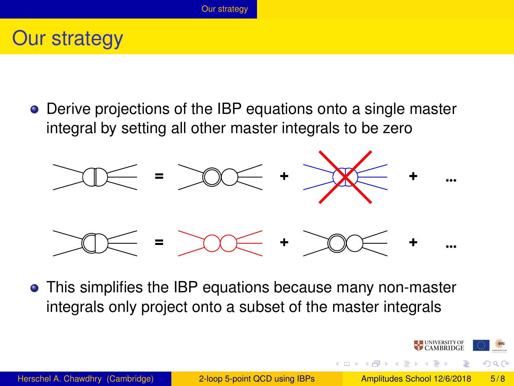## <span id="page-4-0"></span>Our strategy

Derive projections of the IBP equations onto a single master integral by setting all other master integrals to be zero



This simplifies the IBP equations because many non-master integrals only project onto a subset of the master integrals

Herschel A. Chawdhry (Cambridge) [2-loop 5-point QCD using IBPs](#page-0-0) Amplitudes School 12/6/2018 5/8

 $\Omega$ 

**K ロ ト K 伺 ト K ヨ ト**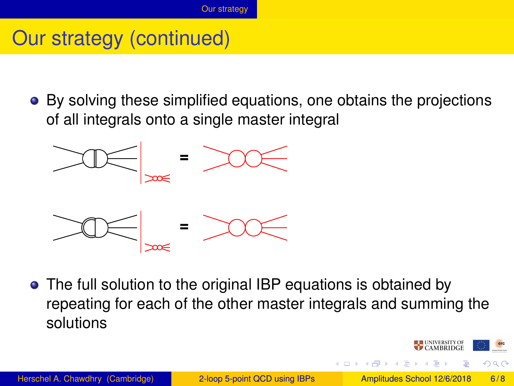## Our strategy (continued)

By solving these simplified equations, one obtains the projections of all integrals onto a single master integral



The full solution to the original IBP equations is obtained by repeating for each of the other master integrals and summing the solutions

Herschel A. Chawdhry (Cambridge) [2-loop 5-point QCD using IBPs](#page-0-0) Amplitudes School 12/6/2018 6/8

 $\Omega$ 

イロト イ押ト イヨト イヨ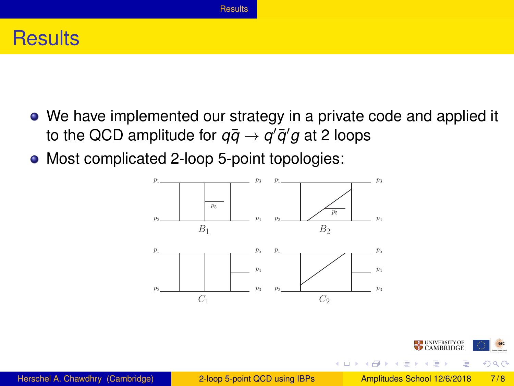#### <span id="page-6-0"></span>**Results**

- We have implemented our strategy in a private code and applied it to the QCD amplitude for  $q\bar{q} \rightarrow q'\bar{q}' g$  at 2 loops
- Most complicated 2-loop 5-point topologies:





**4 ロト 4 何 ト 4 ヨ ト**